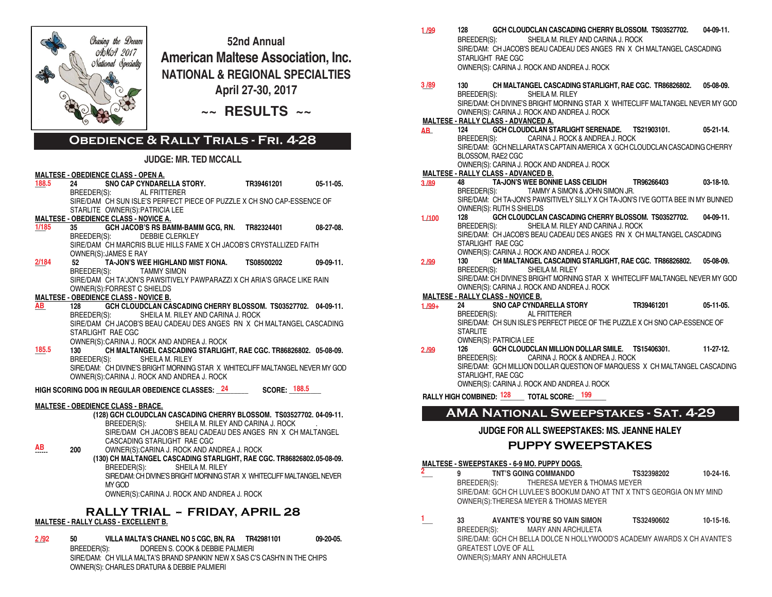

**52nd Annual American Maltese Association, Inc. NATIONAL & REGIONAL SPECIALTIES April 27-30, 2017**

**~~ RESULTS ~~**

# **Obedience & Rally Trials - Fri. 4-28**

### **JUDGE: MR. TED MCCALL**

# **MALTESE - OBEDIENCE CLASS - OPEN A.**

**\_\_\_ 24 SNO CAP CYNDARELLA STORY. TR39461201 05-11-05.**  BREEDER(S): AL FRITTERER SIRE/DAM CH SUN ISLE'S PERFECT PIECE OF PUZZLE X CH SNO CAP-ESSENCE OF **188.5**

STARLITE OWNER(S):PATRICIA LEE

# **MALTESE - OBEDIENCE CLASS - NOVICE A.**

- **\_\_\_ 35 GCH JACOB'S RS BAMM-BAMM GCG, RN. TR82324401 08-27-08.** DEBBIE CLERKLEY SIRE/DAM CH MARCRIS BLUE HILLS FAME X CH JACOB'S CRYSTALLIZED FAITH OWNER(S):JAMES E RAY **1/185**
- **\_\_\_ 52 TA-JON'S WEE HIGHLAND MIST FIONA. TS08500202 09-09-11.**  TAMMY SIMON SIRE/DAM CH TA'JON'S PAWSITIVELY PAWPARAZZI X CH ARIA'S GRACE LIKE RAIN OWNER(S):FORREST C SHIELDS **2/184**

# **MALTESE - OBEDIENCE CLASS - NOVICE B.**

- **\_\_\_ 128 GCH CLOUDCLAN CASCADING CHERRY BLOSSOM. TS03527702. 04-09-11.** SHEILA M. RILEY AND CARINA J. ROCK SIRE/DAM CH JACOB'S BEAU CADEAU DES ANGES RN X CH MALTANGEL CASCADING STARLIGHT RAE CGC OWNER(S):CARINA J. ROCK AND ANDREA J. ROCK **AB**
- **\_\_\_ 130 CH MALTANGEL CASCADING STARLIGHT, RAE CGC. TR86826802. 05-08-09.** SHEILA M. RILEY SIRE/DAM: CH DIVINE'S BRIGHT MORNING STAR X WHITECLIFF MALTANGEL NEVER MY GOD OWNER(S):CARINA J. ROCK AND ANDREA J. ROCK **185.5**

HIGH SCORING DOG IN REGULAR OBEDIENCE CLASSES: \_24 \_\_\_\_\_\_\_\_\_\_\_\_SCORE: \_<sup>188.5</sup> \_\_\_

### **MALTESE - OBEDIENCE CLASS - BRACE.**

- **(128) GCH CLOUDCLAN CASCADING CHERRY BLOSSOM. TS03527702. 04-09-11.** BREEDER(S): SHEILA M. RILEY AND CARINA J. ROCK SIRE/DAM CH JACOB'S BEAU CADEAU DES ANGES RN X CH MALTANGEL CASCADING STARLIGHT RAE CGC<br>200 OWNER(S):CARINA J. ROCK AND AT
- OWNER(S): CARINA J. ROCK AND ANDREA J. ROCK  **(130) CH MALTANGEL CASCADING STARLIGHT, RAE CGC. TR86826802.05-08-09.** BREEDER(S): SHEILA M. RILEY SIRE/DAM: CH DIVINE'S BRIGHT MORNING STAR X WHITECLIFF MALTANGEL NEVER MY GOD OWNER(S):CARINA J. ROCK AND ANDREA J. ROCK **AB**

## **RALLY TRIAL -- FRIDAY, APRIL 28 MALTESE - RALLY CLASS - EXCELLENT B.**

**\_\_\_ 50 VILLA MALTA'S CHANEL NO 5 CGC, BN, RA TR42981101 09-20-05.** BREEDER(S): DOREEN S. COOK & DEBBIE PALMIERI SIRE/DAM: CH VILLA MALTA'S BRAND SPANKIN' NEW X SAS C'S CASH'N IN THE CHIPS OWNER(S): CHARLES DRATURA & DEBBIE PALMIERI **2 /92**

| 1/99    | 128                                        | BREEDER(S):                   | GCH CLOUDCLAN CASCADING CHERRY BLOSSOM. TS03527702.<br>SHEILA M. RILEY AND CARINA J. ROCK        |            | $04-09-11.$ |
|---------|--------------------------------------------|-------------------------------|--------------------------------------------------------------------------------------------------|------------|-------------|
|         |                                            |                               | SIRE/DAM: CH JACOB'S BEAU CADEAU DES ANGES RN X CH MALTANGEL CASCADING                           |            |             |
|         |                                            | STARLIGHT RAE CGC             |                                                                                                  |            |             |
|         |                                            |                               | OWNER(S): CARINA J. ROCK AND ANDREA J. ROCK                                                      |            |             |
| 3/89    | 130                                        |                               | CH MALTANGEL CASCADING STARLIGHT, RAE CGC. TR86826802. 05-08-09.                                 |            |             |
|         | BREEDER(S):                                |                               | SHEILA M. RILEY<br>SIRE/DAM: CH DIVINE'S BRIGHT MORNING STAR X WHITECLIFF MALTANGEL NEVER MY GOD |            |             |
|         |                                            |                               | OWNER(S): CARINA J. ROCK AND ANDREA J. ROCK                                                      |            |             |
|         | <b>MALTESE - RALLY CLASS - ADVANCED A.</b> |                               |                                                                                                  |            |             |
| AB.     | 124                                        |                               | GCH CLOUDCLAN STARLIGHT SERENADE. TS21903101.                                                    |            | $05-21-14.$ |
|         |                                            | BREEDER(S):                   | CARINA J. ROCK & ANDREA J. ROCK                                                                  |            |             |
|         |                                            |                               | SIRE/DAM: GCH NELLARATA'S CAPTAIN AMERICA X GCH CLOUDCLAN CASCADING CHERRY                       |            |             |
|         |                                            | BLOSSOM, RAE2 CGC             |                                                                                                  |            |             |
|         |                                            |                               | OWNER(S): CARINA J. ROCK AND ANDREA J. ROCK                                                      |            |             |
|         | <b>MALTESE - RALLY CLASS - ADVANCED B.</b> |                               |                                                                                                  |            |             |
| 3/89    | 48                                         |                               | TA-JON'S WEE BONNIE LASS CEILIDH TR96266403                                                      |            | 03-18-10.   |
|         |                                            | BREEDER(S):                   | TAMMY A SIMON & JOHN SIMON JR.                                                                   |            |             |
|         |                                            |                               | SIRE/DAM: CH TA JON'S PAWSITIVELY SILLY X CH TA JON'S I'VE GOTTA BEE IN MY BUNNED                |            |             |
|         | 128                                        | OWNER(S): RUTH S SHIELDS      | GCH CLOUDCLAN CASCADING CHERRY BLOSSOM. TS03527702.                                              |            | $04-09-11.$ |
| 1/100   |                                            | BREEDER(S):                   | SHEILA M. RILEY AND CARINA J. ROCK                                                               |            |             |
|         |                                            |                               | SIRE/DAM: CH JACOB'S BEAU CADEAU DES ANGES RN X CH MALTANGEL CASCADING                           |            |             |
|         |                                            | STARLIGHT RAE CGC             |                                                                                                  |            |             |
|         |                                            |                               | OWNER(S): CARINA J. ROCK AND ANDREA J. ROCK                                                      |            |             |
| 2/99    | 130                                        |                               | CH MALTANGEL CASCADING STARLIGHT, RAE CGC. TR86826802.                                           |            | 05-08-09.   |
|         | BREEDER(S):                                |                               | SHEILA M. RILEY                                                                                  |            |             |
|         |                                            |                               | SIRE/DAM: CH DIVINE'S BRIGHT MORNING STAR X WHITECLIFF MALTANGEL NEVER MY GOD                    |            |             |
|         |                                            |                               | OWNER(S): CARINA J. ROCK AND ANDREA J. ROCK                                                      |            |             |
|         | <b>MALTESE - RALLY CLASS - NOVICE B.</b>   |                               |                                                                                                  |            |             |
| $1/99+$ | 24                                         |                               | <b>SNO CAP CYNDARELLA STORY</b>                                                                  | TR39461201 | $05-11-05.$ |
|         | BREEDER(S):                                |                               | AL FRITTERER                                                                                     |            |             |
|         | <b>STARLITE</b>                            |                               | SIRE/DAM: CH SUN ISLE'S PERFECT PIECE OF THE PUZZLE X CH SNO CAP-ESSENCE OF                      |            |             |
|         |                                            | <b>OWNER(S): PATRICIA LEE</b> |                                                                                                  |            |             |
| 2/99    | 126                                        |                               | GCH CLOUDCLAN MILLION DOLLAR SMILE. TS15406301.                                                  |            | 11-27-12.   |
|         | BREEDER(S):                                |                               | CARINA J. ROCK & ANDREA J. ROCK                                                                  |            |             |
|         |                                            |                               | SIRE/DAM: GCH MILLION DOLLAR QUESTION OF MARQUESS X CH MALTANGEL CASCADING                       |            |             |
|         |                                            | STARLIGHT, RAE CGC            |                                                                                                  |            |             |
|         |                                            |                               | OWNER(S): CARINA J. ROCK AND ANDREA J. ROCK                                                      |            |             |
|         |                                            |                               | RALLY HIGH COMBINED: 128 TOTAL SCORE: 199                                                        |            |             |
|         |                                            |                               |                                                                                                  |            |             |
|         |                                            |                               | AMA NATIONAL SWEEPSTAKES - SAT. 4-29                                                             |            |             |

### **JUDGE FOR ALL SWEEPSTAKES: MS. JEANNE HALEY**

## **PUPPY SWEEPSTAKES**

#### **MALTESE - SWEEPSTAKES - 6-9 MO. PUPPY DOGS.**

- **\_\_\_ 9 TNT'S GOING COMMANDO TS32398202 10-24-16.**  BREEDER(S): THERESA MEYER & THOMAS MEYER SIRE/DAM: GCH CH LUVLEE'S BOOKUM DANO AT TNT X TNT'S GEORGIA ON MY MIND OWNER(S):THERESA MEYER & THOMAS MEYER **2**
- **\_\_\_ 33 AVANTE'S YOU'RE SO VAIN SIMON TS32490602 10-15-16.** BREEDER(S): MARY ANN ARCHULETA SIRE/DAM: GCH CH BELLA DOLCE N HOLLYWOOD'S ACADEMY AWARDS X CH AVANTE'S GREATEST LOVE OF ALL OWNER(S):MARY ANN ARCHULETA **1**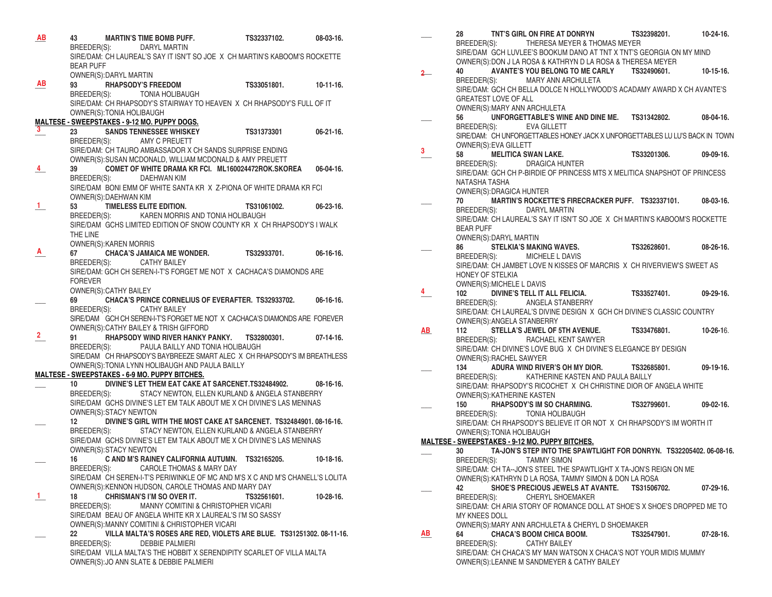| AB             | <b>MARTIN'S TIME BOMB PUFF.</b><br>43<br>BREEDER(S): DARYL MARTIN                                                                                  | TS32337102.                                    | $08-03-16.$      |
|----------------|----------------------------------------------------------------------------------------------------------------------------------------------------|------------------------------------------------|------------------|
|                | SIRE/DAM: CH LAUREAL'S SAY IT ISN'T SO JOE X CH MARTIN'S KABOOM'S ROCKETTE<br><b>BEAR PUFF</b><br>OWNER(S): DARYL MARTIN                           |                                                |                  |
| AВ             | <b>RHAPSODY'S FREEDOM</b><br>93<br>BREEDER(S): TONIA HOLIBAUGH                                                                                     | TS33051801.                                    | $10-11-16.$      |
|                | SIRE/DAM: CH RHAPSODY'S STAIRWAY TO HEAVEN X CH RHAPSODY'S FULL OF IT<br>OWNER(S): TONIA HOLIBAUGH<br>MALTESE - SWEEPSTAKES - 9-12 MO. PUPPY DOGS. |                                                |                  |
| $\mathbf{3}$   | <b>SANDS TENNESSEE WHISKEY</b>                                                                                                                     | <b>TS31373301</b>                              | $06 - 21 - 16$ . |
|                | BREEDER(S): AMY C PREUETT<br>SIRE/DAM: CH TAURO AMBASSADOR X CH SANDS SURPRISE ENDING<br>OWNER(S): SUSAN MCDONALD, WILLIAM MCDONALD & AMY PREUETT  |                                                |                  |
| $\overline{4}$ | COMET OF WHITE DRAMA KR FCI. ML160024472ROK.SKOREA 06-04-16.<br>39                                                                                 |                                                |                  |
|                | DAEHWAN KIM<br>BREEDER(S):                                                                                                                         |                                                |                  |
|                | SIRE/DAM BONI EMM OF WHITE SANTA KR X Z-PIONA OF WHITE DRAMA KR FCI<br>OWNER(S): DAEHWAN KIM                                                       |                                                |                  |
| 1.             | 53 TIMELESS ELITE EDITION.                                                                                                                         | TS31061002.                                    | $06 - 23 - 16$ . |
|                | BREEDER(S): KAREN MORRIS AND TONIA HOLIBAUGH                                                                                                       |                                                |                  |
|                | SIRE/DAM GCHS LIMITED EDITION OF SNOW COUNTY KR X CH RHAPSODY'S I WALK                                                                             |                                                |                  |
|                | THE LINE<br>OWNER(S): KAREN MORRIS                                                                                                                 |                                                |                  |
| A              | 67 CHACA'S JAMAICA ME WONDER. TS32933701.                                                                                                          |                                                | $06-16-16.$      |
|                | BREEDER(S): CATHY BAILEY                                                                                                                           |                                                |                  |
|                | SIRE/DAM: GCH CH SEREN-I-T'S FORGET ME NOT X CACHACA'S DIAMONDS ARE<br><b>FOREVER</b>                                                              |                                                |                  |
|                | OWNER(S): CATHY BAILEY                                                                                                                             |                                                |                  |
|                | 69 CHACA'S PRINCE CORNELIUS OF EVERAFTER. TS32933702.                                                                                              |                                                | $06-16-16.$      |
|                | BREEDER(S): CATHY BAILEY                                                                                                                           |                                                |                  |
|                | SIRE/DAM GCH CH SEREN-I-T'S FORGET ME NOT X CACHACA'S DIAMONDS ARE FOREVER<br>OWNER(S): CATHY BAILEY & TRISH GIFFORD                               |                                                |                  |
| $\mathbf{2}^-$ | 91<br>RHAPSODY WIND RIVER HANKY PANKY.       TS32800301.                                                                                           |                                                | $07-14-16.$      |
|                | BREEDER(S): PAULA BAILLY AND TONIA HOLIBAUGH                                                                                                       |                                                |                  |
|                | SIRE/DAM CH RHAPSODY'S BAYBREEZE SMART ALEC X CH RHAPSODY'S IM BREATHLESS<br>OWNER(S): TONIA LYNN HOLIBAUGH AND PAULA BAILLY                       |                                                |                  |
|                | MALTESE - SWEEPSTAKES - 6-9 MO. PUPPY BITCHES.                                                                                                     |                                                |                  |
|                | DIVINE'S LET THEM EAT CAKE AT SARCENET.TS32484902. 08-16-16.<br>10                                                                                 |                                                |                  |
|                | BREEDER(S): STACY NEWTON, ELLEN KURLAND & ANGELA STANBERRY                                                                                         |                                                |                  |
|                | SIRE/DAM GCHS DIVINE'S LET EM TALK ABOUT ME X CH DIVINE'S LAS MENINAS<br>OWNER(S): STACY NEWTON                                                    |                                                |                  |
|                | DIVINE'S GIRL WITH THE MOST CAKE AT SARCENET. TS32484901.08-16-16.<br>12                                                                           |                                                |                  |
|                | BREEDER(S):                                                                                                                                        | STACY NEWTON, ELLEN KURLAND & ANGELA STANBERRY |                  |
|                | SIRE/DAM GCHS DIVINE'S LET EM TALK ABOUT ME X CH DIVINE'S LAS MENINAS<br>OWNER(S): STACY NEWTON                                                    |                                                |                  |
|                | 16 C AND M'S RAINEY CALIFORNIA AUTUMN. TS32165205.                                                                                                 |                                                | $10-18-16.$      |
|                | BREEDER(S): CAROLE THOMAS & MARY DAY                                                                                                               |                                                |                  |
|                | SIRE/DAM CH SEREN-I-T'S PERIWINKLE OF MC AND M'S X C AND M'S CHANELL'S LOLITA                                                                      |                                                |                  |
| $\perp$        | OWNER(S): KENNON HUDSON, CAROLE THOMAS AND MARY DAY<br>18<br><b>CHRISMAN'S I'M SO OVER IT.</b>                                                     | TS32561601.                                    | 10-28-16.        |
|                | BREEDER(S):<br>MANNY COMITINI & CHRISTOPHER VICARI                                                                                                 |                                                |                  |
|                | SIRE/DAM BEAU OF ANGELA WHITE KR X LAUREAL'S I'M SO SASSY                                                                                          |                                                |                  |
|                | OWNER(S): MANNY COMITINI & CHRISTOPHER VICARI                                                                                                      |                                                |                  |
|                | 22<br>VILLA MALTA'S ROSES ARE RED, VIOLETS ARE BLUE. TS31251302.08-11-16.<br>BREEDER(S):<br><b>DEBBIE PALMIERI</b>                                 |                                                |                  |
|                | SIRE/DAM VILLA MALTA'S THE HOBBIT X SERENDIPITY SCARLET OF VILLA MALTA                                                                             |                                                |                  |
|                | OWNER(S): JO ANN SLATE & DEBBIE PALMIERI                                                                                                           |                                                |                  |

|    | 28                              |                             | TNT'S GIRL ON FIRE AT DONRYN<br>BREEDER(S): THERESA MEYER & THOMAS MEYER<br>SIRE/DAM GCH LUVLEE'S BOOKUM DANO AT TNT X TNT'S GEORGIA ON MY MIND | TS32398201.                  | $10-24-16.$      |
|----|---------------------------------|-----------------------------|-------------------------------------------------------------------------------------------------------------------------------------------------|------------------------------|------------------|
| 2  | 40                              |                             | OWNER(S): DON J LA ROSA & KATHRYN D LA ROSA & THERESA MEYER<br>AVANTE'S YOU BELONG TO ME CARLY TS32490601.                                      |                              | $10-15-16.$      |
|    | BREEDER(S):                     | <b>GREATEST LOVE OF ALL</b> | MARY ANN ARCHULETA<br>SIRE/DAM: GCH CH BELLA DOLCE N HOLLYWOOD'S ACADAMY AWARD X CH AVANTE'S<br>OWNER(S): MARY ANN ARCHULETA                    |                              |                  |
|    | 56                              |                             | UNFORGETTABLE'S WINE AND DINE ME. TS31342802. 08-04-16.<br>BREEDER(S): EVA GILLETT                                                              |                              |                  |
|    |                                 | OWNER(S): EVA GILLETT       | SIRE/DAM: CH UNFORGETTABLES HONEY JACK X UNFORGETTABLES LU LU'S BACK IN TOWN                                                                    |                              |                  |
| 3. | 58                              |                             | <b>MELITICA SWAN LAKE.</b>                                                                                                                      | TS33201306. 09-09-16.        |                  |
|    | BREEDER(S):<br>NATASHA TASHA    | OWNER(S): DRAGICA HUNTER    | <b>DRAGICA HUNTER</b><br>SIRE/DAM: GCH CH P-BIRDIE OF PRINCESS MTS X MELITICA SNAPSHOT OF PRINCESS                                              |                              |                  |
|    | 70                              |                             | MARTIN'S ROCKETTE'S FIRECRACKER PUFF. TS32337101. 08-03-16.                                                                                     |                              |                  |
|    | BREEDER(S):<br><b>BEAR PUFF</b> |                             | DARYL MARTIN<br>SIRE/DAM: CH LAUREAL'S SAY IT ISN'T SO JOE X CH MARTIN'S KABOOM'S ROCKETTE                                                      |                              |                  |
|    | 86                              | OWNER(S): DARYL MARTIN      | <b>STELKIA'S MAKING WAVES.</b>                                                                                                                  | TS32628601.                  | 08-26-16.        |
|    |                                 |                             | BREEDER(S): MICHELE L DAVIS                                                                                                                     |                              |                  |
|    | HONEY OF STELKIA                | OWNER(S): MICHELE L DAVIS   | SIRE/DAM: CH JAMBET LOVE N KISSES OF MARCRIS X CH RIVERVIEW'S SWEET AS                                                                          |                              |                  |
| 4  | 102                             |                             | DIVINE'S TELL IT ALL FELICIA. TS33527401.                                                                                                       |                              | $09-29-16$       |
|    | BREEDER(S):                     |                             | ANGELA STANBERRY<br>SIRE/DAM: CH LAUREAL'S DIVINE DESIGN X GCH CH DIVINE'S CLASSIC COUNTRY                                                      |                              |                  |
|    |                                 |                             | OWNER(S): ANGELA STANBERRY                                                                                                                      |                              |                  |
| AB | 112<br>BREEDER(S):              |                             | STELLA'S JEWEL OF 5TH AVENUE.<br>RACHAEL KENT SAWYER                                                                                            | <b>TS33476801.</b> 10-26-16. |                  |
|    |                                 | OWNER(S): RACHEL SAWYER     | SIRE/DAM: CH DIVINE'S LOVE BUG X CH DIVINE'S ELEGANCE BY DESIGN                                                                                 |                              |                  |
|    |                                 |                             | 134 ADURA WIND RIVER'S OH MY DIOR. TS32685801.<br>BREEDER(S): KATHERINE KASTEN AND PAULA BAILLY                                                 |                              | 09-19-16.        |
|    |                                 | OWNER(S): KATHERINE KASTEN  | SIRE/DAM: RHAPSODY'S RICOCHET X CH CHRISTINE DIOR OF ANGELA WHITE                                                                               |                              |                  |
|    |                                 |                             | 150 RHAPSODY'S IM SO CHARMING.                                                                                                                  | TS32799601.                  | $09-02-16.$      |
|    |                                 |                             | BREEDER(S): TONIA HOLIBAUGH<br>SIRE/DAM: CH RHAPSODY'S BELIEVE IT OR NOT X CH RHAPSODY'S IM WORTH IT                                            |                              |                  |
|    |                                 | OWNER(S): TONIA HOLIBAUGH   |                                                                                                                                                 |                              |                  |
|    | 30                              |                             | <b>MALTESE - SWEEPSTAKES - 9-12 MO. PUPPY BITCHES.</b><br>TA-JON'S STEP INTO THE SPAWTLIGHT FOR DONRYN. TS32205402.06-08-16.                    |                              |                  |
|    |                                 |                             | BREEDER(S): TAMMY SIMON                                                                                                                         |                              |                  |
|    |                                 |                             | SIRE/DAM: CH TA--JON'S STEEL THE SPAWTLIGHT X TA-JON'S REIGN ON ME                                                                              |                              |                  |
|    | 42                              |                             | OWNER(S): KATHRYN D LA ROSA, TAMMY SIMON & DON LA ROSA<br><b>SHOE'S PRECIOUS JEWELS AT AVANTE.</b>                                              | TS31506702.                  | $07-29-16.$      |
|    | BREEDER(S):                     |                             | <b>CHERYL SHOEMAKER</b>                                                                                                                         |                              |                  |
|    | MY KNEES DOLL                   |                             | SIRE/DAM: CH ARIA STORY OF ROMANCE DOLL AT SHOE'S X SHOE'S DROPPED ME TO                                                                        |                              |                  |
| AB | 64                              |                             | OWNER(S): MARY ANN ARCHULETA & CHERYL D SHOEMAKER<br><b>CHACA'S BOOM CHICA BOOM.</b>                                                            | TS32547901.                  | $07 - 28 - 16$ . |
|    | BREEDER(S):                     |                             | <b>CATHY BAILEY</b>                                                                                                                             |                              |                  |
|    |                                 |                             | SIRE/DAM: CH CHACA'S MY MAN WATSON X CHACA'S NOT YOUR MIDIS MUMMY<br>OWNER(S): LEANNE M SANDMEYER & CATHY BAILEY                                |                              |                  |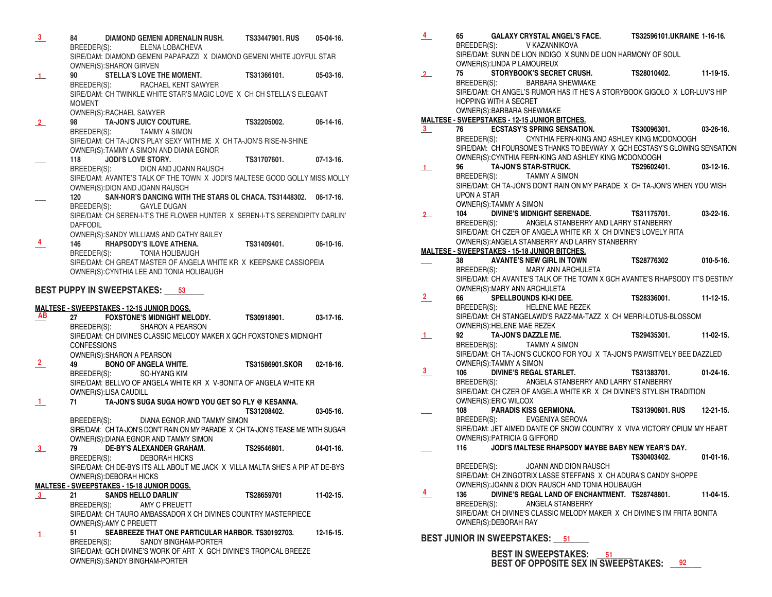- **\_\_\_ 84 DIAMOND GEMENI ADRENALIN RUSH. TS33447901. RUS 05-04-16.**  ELENA LOBACHEVA SIRE/DAM: DIAMOND GEMENI PAPARAZZI X DIAMOND GEMENI WHITE JOYFUL STAR OWNER(S):SHARON GIRVEN **3**
- 90 **STELLA'S LOVE THE MOMENT.** TS31366101. 05-03-16.<br>BREEDER(S): RACHAEL KENT SAWYER RACHAEL KENT SAWYER SIRE/DAM: CH TWINKLE WHITE STAR'S MAGIC LOVE X CH CH STELLA'S ELEGANT MOMENT OWNER(S):RACHAEL SAWYER **1**
- **\_\_\_ 98 TA-JON'S JUICY COUTURE. TS32205002. 06-14-16.**  BREEDER(S): TAMMY A SIMON SIRE/DAM: CH TA-JON'S PLAY SEXY WITH ME X CH TA-JON'S RISE-N-SHINE OWNER(S):TAMMY A SIMON AND DIANA EGNOR **\_\_\_ 118 JODI'S LOVE STORY. TS31707601. 07-13-16.** BREEDER(S): DION AND JOANN RAUSCH **2**

SIRE/DAM: AVANTE'S TALK OF THE TOWN X JODI'S MALTESE GOOD GOLLY MISS MOLLY OWNER(S):DION AND JOANN RAUSCH

**\_\_\_ 120 SAN-NOR'S DANCING WITH THE STARS OL CHACA. TS31448302. 06-17-16.** BREEDER(S): GAYLE DUGAN SIRE/DAM: CH SEREN-I-T'S THE FLOWER HUNTER X SEREN-I-T'S SERENDIPITY DARLIN'

DAFFODIL OWNER(S):SANDY WILLIAMS AND CATHY BAILEY

**\_\_\_ 146 RHAPSODY'S ILOVE ATHENA. TS31409401. 06-10-16.**  BREEDER(S): TONIA HOLIBAUGH SIRE/DAM: CH GREAT MASTER OF ANGELA WHITE KR X KEEPSAKE CASSIOPEIA OWNER(S):CYNTHIA LEE AND TONIA HOLIBAUGH **4**

## **BEST PUPPY IN SWEEPSTAKES: \_\_\_\_\_\_\_\_\_ 53**

### **MALTESE - SWEEPSTAKES - 12-15 JUNIOR DOGS.**

| AB            |                    |                         |                                                       | 27 FOXSTONE'S MIDNIGHT MELODY. TS30918901. 03-17-16.                            |             |
|---------------|--------------------|-------------------------|-------------------------------------------------------|---------------------------------------------------------------------------------|-------------|
|               |                    |                         | BREEDER(S): SHARON A PEARSON                          |                                                                                 |             |
|               |                    |                         |                                                       | SIRE/DAM: CH DIVINES CLASSIC MELODY MAKER X GCH FOXSTONE'S MIDNIGHT             |             |
|               | <b>CONFESSIONS</b> |                         |                                                       |                                                                                 |             |
|               |                    |                         | OWNER(S): SHARON A PEARSON                            |                                                                                 |             |
| $\frac{2}{2}$ |                    |                         |                                                       | 49 BONO OF ANGELA WHITE. TS31586901.SKOR 02-18-16.                              |             |
|               |                    |                         | BREEDER(S): SO-HYANG KIM                              |                                                                                 |             |
|               |                    |                         |                                                       | SIRE/DAM: BELLVO OF ANGELA WHITE KR X V-BONITA OF ANGELA WHITE KR               |             |
|               |                    | OWNER(S):LISA CAUDILL   |                                                       |                                                                                 |             |
| $\mathbf{1}$  |                    |                         | 71 TA-JON'S SUGA SUGA HOW'D YOU GET SO FLY @ KESANNA. |                                                                                 |             |
|               |                    |                         |                                                       | TS31208402. 03-05-16.                                                           |             |
|               |                    |                         | BREEDER(S): DIANA EGNOR AND TAMMY SIMON               |                                                                                 |             |
|               |                    |                         |                                                       | SIRE/DAM: CH TA-JON'S DON'T RAIN ON MY PARADE X CH TA-JON'S TEASE ME WITH SUGAR |             |
|               |                    |                         | OWNER(S): DIANA EGNOR AND TAMMY SIMON                 |                                                                                 |             |
| $\frac{3}{2}$ |                    |                         |                                                       | 79 DE-BY'S ALEXANDER GRAHAM. TS29546801. 04-01-16.                              |             |
|               |                    |                         | BREEDER(S): DEBORAH HICKS                             |                                                                                 |             |
|               |                    |                         |                                                       | SIRE/DAM: CH DE-BYS ITS ALL ABOUT ME JACK X VILLA MALTA SHE'S A PIP AT DE-BYS   |             |
|               |                    | OWNER(S): DEBORAH HICKS |                                                       |                                                                                 |             |
|               |                    |                         | <b>MALTESE - SWEEPSTAKES - 15-18 JUNIOR DOGS.</b>     |                                                                                 |             |
| $\mathbf{3}$  |                    |                         | 21 SANDS HELLO DARLIN'                                | TS28659701                                                                      | $11-02-15.$ |
|               |                    |                         | BREEDER(S): AMY C PREUETT                             |                                                                                 |             |
|               |                    |                         |                                                       | SIRE/DAM: CH TAURO AMBASSADOR X CH DIVINES COUNTRY MASTERPIECE                  |             |
|               |                    | OWNER(S): AMY C PREUETT |                                                       |                                                                                 |             |
| $\mathbf{1}$  | 51                 |                         |                                                       | SEABREEZE THAT ONE PARTICULAR HARBOR. TS30192703. 12-16-15.                     |             |
|               |                    |                         | BREEDER(S): SANDY BINGHAM-PORTER                      |                                                                                 |             |
|               |                    |                         |                                                       | SIRE/DAM: GCH DIVINE'S WORK OF ART X GCH DIVINE'S TROPICAL BREEZE               |             |
|               |                    |                         | OWNER(S): SANDY BINGHAM-PORTER                        |                                                                                 |             |

| $\frac{4}{}$   | 65                                            | GALAXY CRYSTAL ANGEL'S FACE.                TS32596101.UKRAINE 1-16-16.                                                       |             |             |
|----------------|-----------------------------------------------|-------------------------------------------------------------------------------------------------------------------------------|-------------|-------------|
|                | BREEDER(S): V KAZANNIKOVA                     |                                                                                                                               |             |             |
|                |                                               | SIRE/DAM: SUNN DE LION INDIGO X SUNN DE LION HARMONY OF SOUL                                                                  |             |             |
|                | OWNER(S): LINDA P LAMOUREUX                   |                                                                                                                               |             |             |
| 2              |                                               |                                                                                                                               |             |             |
|                |                                               | 75 STORYBOOK'S SECRET CRUSH. TS28010402. 11-19-15.<br>BREEDER(S): BARBARA SHEWMAKE                                            |             |             |
|                |                                               | SIRE/DAM: CH ANGEL'S RUMOR HAS IT HE'S A STORYBOOK GIGOLO X LOR-LUV'S HIP                                                     |             |             |
|                | <b>HOPPING WITH A SECRET</b>                  |                                                                                                                               |             |             |
|                | OWNER(S): BARBARA SHEWMAKE                    |                                                                                                                               |             |             |
|                | MALTESE - SWEEPSTAKES - 12-15 JUNIOR BITCHES. |                                                                                                                               |             |             |
| 3              |                                               | <u>The ECSTASY'S SPRING SENSATION.</u><br>The ECSTASY'S SPRING SENSATION. TS30096301. 03-26-16.                               |             |             |
|                |                                               | BREEDER(S): CYNTHIA FERN-KING AND ASHLEY KING MCDONOOGH                                                                       |             |             |
|                |                                               | SIRE/DAM: CH FOURSOME'S THANKS TO BEVWAY X GCH ECSTASY'S GLOWING SENSATION                                                    |             |             |
|                |                                               | OWNER(S): CYNTHIA FERN-KING AND ASHLEY KING MCDONOOGH                                                                         |             |             |
| $\perp$        |                                               |                                                                                                                               |             |             |
|                |                                               | 96 TA-JON'S STAR-STRUCK. TS29602401. 03-12-16.<br>BREEDER(S): TAMMY A SIMON                                                   |             |             |
|                |                                               | SIRE/DAM: CH TA-JON'S DON'T RAIN ON MY PARADE X CH TA-JON'S WHEN YOU WISH                                                     |             |             |
|                | <b>UPON A STAR</b>                            |                                                                                                                               |             |             |
|                | OWNER(S):TAMMY A SIMON                        |                                                                                                                               |             |             |
|                | 104                                           | DIVINE'S MIDNIGHT SERENADE. TS31175701. 03-22-16.                                                                             |             |             |
| $2-$           |                                               | BREEDER(S): ANGELA STANBERRY AND LARRY STANBERRY                                                                              |             |             |
|                |                                               | SIRE/DAM: CH CZER OF ANGELA WHITE KR X CH DIVINE'S LOVELY RITA                                                                |             |             |
|                |                                               |                                                                                                                               |             |             |
|                |                                               | OWNER(S): ANGELA STANBERRY AND LARRY STANBERRY                                                                                |             |             |
|                |                                               | <u>MALTESE - SWEEPSTAKES - 15-18 JUNIOR BITCHES.</u><br>____   38    AVANTE'S NEW GIRL IN TOWN       TS28776302     010-5-16. |             |             |
|                |                                               |                                                                                                                               |             |             |
|                |                                               | BREEDER(S): MARY ANN ARCHULETA<br>SIRE/DAM: CH AVANTE'S TALK OF THE TOWN X GCH AVANTE'S RHAPSODY IT'S DESTINY                 |             |             |
|                |                                               |                                                                                                                               |             |             |
| $\overline{2}$ |                                               |                                                                                                                               |             |             |
|                |                                               | BREEDER(S): HELENE MAE REZEK                                                                                                  |             |             |
|                |                                               |                                                                                                                               |             |             |
|                |                                               | SIRE/DAM: CH STANGELAWD'S RAZZ-MA-TAZZ X CH MERRI-LOTUS-BLOSSOM                                                               |             |             |
|                |                                               |                                                                                                                               |             |             |
| 1              |                                               |                                                                                                                               |             |             |
|                |                                               |                                                                                                                               |             |             |
|                |                                               | SIRE/DAM: CH TA JON'S CUCKOO FOR YOU X TA JON'S PAWSITIVELY BEE DAZZLED                                                       |             |             |
| 3              | OWNER(S):TAMMY A SIMON                        | 106 DIVINE'S REGAL STARLET. TS31383701. 01-24-16.                                                                             |             |             |
|                |                                               |                                                                                                                               |             |             |
|                |                                               | BREEDER(S): ANGELA STANBERRY AND LARRY STANBERRY                                                                              |             |             |
|                |                                               | SIRE/DAM: CH CZER OF ANGELA WHITE KR X CH DIVINE'S STYLISH TRADITION                                                          |             |             |
|                | OWNER(S): ERIC WILCOX                         | PARADIS KISS GERMIONA. TS31390801. RUS 12-21-15.                                                                              |             |             |
|                | 108                                           |                                                                                                                               |             |             |
|                |                                               | BREEDER(S): EVGENIYA SEROVA                                                                                                   |             |             |
|                |                                               | SIRE/DAM: JET AIMED DANTE OF SNOW COUNTRY X VIVA VICTORY OPIUM MY HEART                                                       |             |             |
|                | OWNER(S): PATRICIA G GIFFORD                  |                                                                                                                               |             |             |
|                |                                               | 116 JODI'S MALTESE RHAPSODY MAYBE BABY NEW YEAR'S DAY.                                                                        |             |             |
|                |                                               |                                                                                                                               | TS30403402. | $01-01-16.$ |
|                | BREEDER(S):                                   | JOANN AND DION RAUSCH                                                                                                         |             |             |
|                |                                               | SIRE/DAM: CH ZINGOTRIX LASSE STEFFANS X CH ADURA'S CANDY SHOPPE                                                               |             |             |
|                |                                               | OWNER(S): JOANN & DION RAUSCH AND TONIA HOLIBAUGH                                                                             |             |             |
|                | 136                                           | DIVINE'S REGAL LAND OF ENCHANTMENT. TS28748801.                                                                               |             | $11-04-15.$ |
|                | BREEDER(S):                                   | ANGELA STANBERRY                                                                                                              |             |             |
|                |                                               | SIRE/DAM: CH DIVINE'S CLASSIC MELODY MAKER X CH DIVINE'S I'M FRITA BONITA                                                     |             |             |
|                | OWNER(S): DEBORAH RAY                         |                                                                                                                               |             |             |
|                |                                               |                                                                                                                               |             |             |
|                | BEST JUNIOR IN SWEEPSTAKES: 51                |                                                                                                                               |             |             |

 **BEST IN SWEEPSTAKES: \_\_\_\_\_\_\_\_ BEST OF OPPOSITE SEX IN SWEEPSTAKES: \_\_\_\_\_\_\_ 92**

**BEST IN SWEEPSTAKES:** 51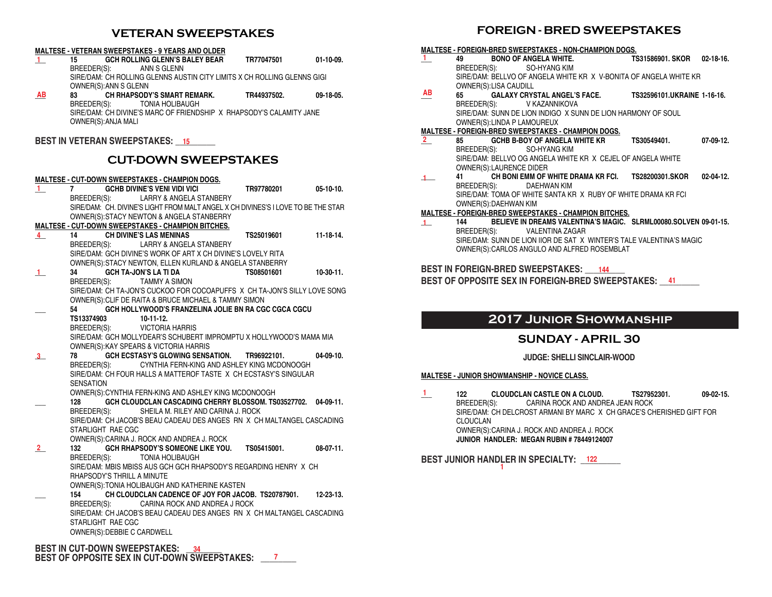# **VETERAN SWEEPSTAKES**

#### **MALTESE - VETERAN SWEEPSTAKES - 9 YEARS AND OLDER**

- **\_\_\_ 15 GCH ROLLING GLENN'S BALEY BEAR TR77047501 01-10-09.**  BREEDER(S): SIRE/DAM: CH ROLLING GLENNS AUSTIN CITY LIMITS X CH ROLLING GLENNS GIGI OWNER(S):ANN S GLENN **1**
- **\_\_\_ 83 CH RHAPSODY'S SMART REMARK. TR44937502. 09-18-05.**  BREEDER(S): TONIA HOLIBAUGH SIRE/DAM: CH DIVINE'S MARC OF FRIENDSHIP X RHAPSODY'S CALAMITY JANE OWNER(S):ANJA MALI **AB**

### **BEST IN VETERAN SWEEPSTAKES: \_\_\_\_\_\_\_\_\_ 15**

# **CUT-DOWN SWEEPSTAKES**

#### **MALTESE - CUT-DOWN SWEEPSTAKES - CHAMPION DOGS.**

| 1.           | 7                 |                             | GCHB DIVINE'S VENI VIDI VICI                                                                                             | TR97780201 | $05-10-10.$      |
|--------------|-------------------|-----------------------------|--------------------------------------------------------------------------------------------------------------------------|------------|------------------|
|              |                   |                             | BREEDER(S): LARRY & ANGELA STANBERY                                                                                      |            |                  |
|              |                   |                             | SIRE/DAM: CH. DIVINE'S LIGHT FROM MALT ANGEL X CH DIVINES'S I LOVE TO BE THE STAR                                        |            |                  |
|              |                   |                             | OWNER(S): STACY NEWTON & ANGELA STANBERRY                                                                                |            |                  |
|              |                   |                             | <b>MALTESE - CUT-DOWN SWEEPSTAKES - CHAMPION BITCHES.</b>                                                                |            |                  |
| 4            | 14 (1)            |                             | <b>CH DIVINE'S LAS MENINAS</b>                                                                                           | TS25019601 | $11 - 18 - 14$ . |
|              |                   |                             | BREEDER(S): LARRY & ANGELA STANBERY                                                                                      |            |                  |
|              |                   |                             | SIRE/DAM: GCH DIVINE'S WORK OF ART X CH DIVINE'S LOVELY RITA                                                             |            |                  |
|              |                   |                             | OWNER(S): STACY NEWTON, ELLEN KURLAND & ANGELA STANBERRY                                                                 |            |                  |
| $\mathbf{1}$ | 34                |                             | <b>GCH TA-JON'S LA TI DA</b>                                                                                             | TS08501601 | $10-30-11$ .     |
|              | BREEDER(S):       |                             | TAMMY A SIMON                                                                                                            |            |                  |
|              |                   |                             | SIRE/DAM: CH TA-JON'S CUCKOO FOR COCOAPUFFS X CH TA-JON'S SILLY LOVE SONG                                                |            |                  |
|              |                   |                             | OWNER(S): CLIF DE RAITA & BRUCE MICHAEL & TAMMY SIMON                                                                    |            |                  |
|              | 54 7              |                             | GCH HOLLYWOOD'S FRANZELINA JOLIE BN RA CGC CGCA CGCU                                                                     |            |                  |
|              | <b>TS13374903</b> |                             | $10-11-12.$                                                                                                              |            |                  |
|              |                   |                             | BREEDER(S): VICTORIA HARRIS                                                                                              |            |                  |
|              |                   |                             | SIRE/DAM: GCH MOLLYDEAR'S SCHUBERT IMPROMPTU X HOLLYWOOD'S MAMA MIA                                                      |            |                  |
|              |                   |                             | OWNER(S): KAY SPEARS & VICTORIA HARRIS                                                                                   |            |                  |
| 3            | 78                |                             | GCH ECSTASY'S GLOWING SENSATION. TR96922101.                                                                             |            | $04-09-10$ .     |
|              |                   |                             | BREEDER(S): CYNTHIA FERN-KING AND ASHLEY KING MCDONOOGH                                                                  |            |                  |
|              |                   |                             | SIRE/DAM: CH FOUR HALLS A MATTEROF TASTE X CH ECSTASY'S SINGULAR                                                         |            |                  |
|              | <b>SENSATION</b>  |                             |                                                                                                                          |            |                  |
|              |                   |                             | OWNER(S): CYNTHIA FERN-KING AND ASHLEY KING MCDONOOGH                                                                    |            |                  |
|              | 128               |                             | GCH CLOUDCLAN CASCADING CHERRY BLOSSOM. TS03527702. 04-09-11.                                                            |            |                  |
|              |                   |                             | BREEDER(S): SHEILA M. RILEY AND CARINA J. ROCK<br>SIRE/DAM: CH JACOB'S BEAU CADEAU DES ANGES RN X CH MALTANGEL CASCADING |            |                  |
|              |                   | STARLIGHT RAE CGC           |                                                                                                                          |            |                  |
|              |                   |                             | OWNER(S): CARINA J. ROCK AND ANDREA J. ROCK                                                                              |            |                  |
| $\mathbf{2}$ | 132               |                             | GCH RHAPSODY'S SOMEONE LIKE YOU. TS05415001.                                                                             |            | 08-07-11.        |
|              | BREEDER(S):       |                             | TONIA HOLIBAUGH                                                                                                          |            |                  |
|              |                   |                             | SIRE/DAM: MBIS MBISS AUS GCH GCH RHAPSODY'S REGARDING HENRY X CH                                                         |            |                  |
|              |                   | RHAPSODY'S THRILL A MINUTE  |                                                                                                                          |            |                  |
|              |                   |                             | OWNER(S): TONIA HOLIBAUGH AND KATHERINE KASTEN                                                                           |            |                  |
|              | 154               |                             | CH CLOUDCLAN CADENCE OF JOY FOR JACOB. TS20787901.                                                                       |            | $12 - 23 - 13$ . |
|              |                   |                             | BREEDER(S): CARINA ROCK AND ANDREA J ROCK                                                                                |            |                  |
|              |                   |                             | SIRE/DAM: CH JACOB'S BEAU CADEAU DES ANGES RN X CH MALTANGEL CASCADING                                                   |            |                  |
|              |                   | STARLIGHT RAE CGC           |                                                                                                                          |            |                  |
|              |                   | OWNER(S): DEBBIE C CARDWELL |                                                                                                                          |            |                  |
|              |                   |                             |                                                                                                                          |            |                  |

**BEST IN CUT-DOWN SWEEPSTAKES: \_\_\_\_\_\_\_\_ 34 BEST OF OPPOSITE SEX IN CUT-DOWN SWEEPSTAKES: \_\_\_\_\_\_\_\_ 7**

# **FOREIGN - BRED SWEEPSTAKES**

#### **MALTESE - FOREIGN-BRED SWEEPSTAKES - NON-CHAMPION DOGS. \_\_\_ 49 BONO OF ANGELA WHITE. TS31586901. SKOR 02-18-16.**  BREEDER(S): SO-HYANG KIM SIRE/DAM: BELLVO OF ANGELA WHITE KR X V-BONITA OF ANGELA WHITE KR OWNER(S):LISA CAUDILL **\_\_\_ 65 GALAXY CRYSTAL ANGEL'S FACE. TS32596101.UKRAINE 1-16-16.** V KAZANNIKOVA SIRE/DAM: SUNN DE LION INDIGO X SUNN DE LION HARMONY OF SOUL OWNER(S):LINDA P LAMOUREUX **MALTESE - FOREIGN-BRED SWEEPSTAKES - CHAMPION DOGS.** 85 **GCHB B-BOY OF ANGELA WHITE KR TS30549401. 07-09-12. BREEDER(S): SO-HYANG KIM** SO-HYANG KIM SIRE/DAM: BELLVO OG ANGELA WHITE KR X CEJEL OF ANGELA WHITE OWNER(S):LAURENCE DIDER<br>41 **CH BONI EMM OF \ \_\_\_\_ 41 CH BONI EMM OF WHITE DRAMA KR FCI. TS28200301.SKOR 02-04-12.** BREEDER(S): DAEHWAN KIM SIRE/DAM: TOMA OF WHITE SANTA KR X RUBY OF WHITE DRAMA KR FCI OWNER(S):DAEHWAN KIM **MALTESE - FOREIGN-BRED SWEEPSTAKES - CHAMPION BITCHES. \_\_\_ 144 BELIEVE IN DREAMS VALENTINA'S MAGIC. SLRML00080.SOLVEN 09-01-15.** BREEDER(S): VALENTINA ZAGAR SIRE/DAM: SUNN DE LION IIOR DE SAT X WINTER'S TALE VALENTINA'S MAGIC OWNER(S):CARLOS ANGULO AND ALFRED ROSEMBLAT **BEST IN FOREIGN-BRED SWEEPSTAKES: \_\_\_\_\_\_\_\_\_ 144 BEST OF OPPOSITE SEX IN FOREIGN-BRED SWEEPSTAKES: \_\_\_\_\_\_\_\_\_ 41 1 AB 2 1 1**

# **2017 Junior Showmanship**

## **SUNDAY - APRIL 30**

#### **JUDGE: SHELLI SINCLAIR-WOOD**

#### **MALTESE - JUNIOR SHOWMANSHIP - NOVICE CLASS.**

**\_\_\_ 122 CLOUDCLAN CASTLE ON A CLOUD. TS27952301. 09-02-15.**  CARINA ROCK AND ANDREA JEAN ROCK SIRE/DAM: CH DELCROST ARMANI BY MARC X CH GRACE'S CHERISHED GIFT FOR CLOUCLAN OWNER(S):CARINA J. ROCK AND ANDREA J. ROCK **JUNIOR HANDLER: MEGAN RUBIN # 78449124007 1**

**BEST JUNIOR HANDLER IN SPECIALTY: \_\_\_\_\_\_\_\_\_ 122 1 1 1 1**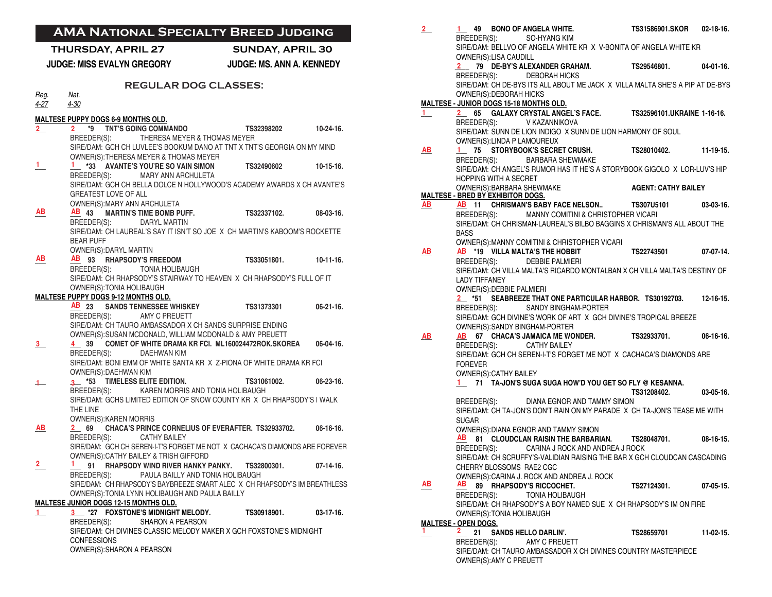| 2     | 1 49 BONO OF ANGELA WHITE.<br>BREEDER(S): SO-HYANG KIM                                                                     | <b>TS31586901.SKOR</b> | $02 - 18 - 16$ . |
|-------|----------------------------------------------------------------------------------------------------------------------------|------------------------|------------------|
|       | SIRE/DAM: BELLVO OF ANGELA WHITE KR X V-BONITA OF ANGELA WHITE KR                                                          |                        |                  |
|       | OWNER(S):LISA CAUDILL<br>2 79 DE-BY'S ALEXANDER GRAHAM. TS29546801.                                                        |                        | 04-01-16.        |
|       | BREEDER(S): DEBORAH HICKS                                                                                                  |                        |                  |
|       | SIRE/DAM: CH DE-BYS ITS ALL ABOUT ME JACK X VILLA MALTA SHE'S A PIP AT DE-BYS                                              |                        |                  |
|       | OWNER(S): DEBORAH HICKS                                                                                                    |                        |                  |
|       | MALTESE - JUNIOR DOGS 15-18 MONTHS OLD.                                                                                    |                        |                  |
| $1 -$ | 2 65 GALAXY CRYSTAL ANGEL'S FACE. TS32596101.UKRAINE 1-16-16.                                                              |                        |                  |
|       | BREEDER(S): V KAZANNIKOVA                                                                                                  |                        |                  |
|       | SIRE/DAM: SUNN DE LION INDIGO X SUNN DE LION HARMONY OF SOUL<br>OWNER(S): LINDA P LAMOUREUX                                |                        |                  |
| AB    | 1 75 STORYBOOK'S SECRET CRUSH. TS28010402. 11-19-15.                                                                       |                        |                  |
|       | <b>BARBARA SHEWMAKE</b><br>BREEDER(S):                                                                                     |                        |                  |
|       | SIRE/DAM: CH ANGEL'S RUMOR HAS IT HE'S A STORYBOOK GIGOLO X LOR-LUV'S HIP                                                  |                        |                  |
|       | <b>HOPPING WITH A SECRET</b>                                                                                               |                        |                  |
|       | OWNER(S): BARBARA SHEWMAKE AGENT: CATHY BAILEY                                                                             |                        |                  |
| AВ    | <b>MALTESE - BRED BY EXHIBITOR DOGS.</b><br>AB 11 CHRISMAN'S BABY FACE NELSON TS307U5101                                   |                        | $03-03-16.$      |
|       | BREEDER(S): MANNY COMITINI & CHRISTOPHER VICARI                                                                            |                        |                  |
|       | SIRE/DAM: CH CHRISMAN-LAUREAL'S BILBO BAGGINS X CHRISMAN'S ALL ABOUT THE                                                   |                        |                  |
|       | <b>BASS</b>                                                                                                                |                        |                  |
|       | OWNER(S): MANNY COMITINI & CHRISTOPHER VICARI                                                                              |                        |                  |
| AВ    | AB *19 VILLA MALTA'S THE HOBBIT TS22743501<br>BREEDER(S): DEBBIE PALMIERI                                                  |                        | 07-07-14         |
|       | SIRE/DAM: CH VILLA MALTA'S RICARDO MONTALBAN X CH VILLA MALTA'S DESTINY OF                                                 |                        |                  |
|       | <b>LADY TIFFANEY</b>                                                                                                       |                        |                  |
|       | OWNER(S): DEBBIE PALMIERI                                                                                                  |                        |                  |
|       | <sup>2</sup> *51 SEABREEZE THAT ONE PARTICULAR HARBOR. TS30192703.                                                         |                        | $12 - 16 - 15$ . |
|       | SANDY BINGHAM-PORTER<br>BREEDER(S):                                                                                        |                        |                  |
|       | SIRE/DAM: GCH DIVINE'S WORK OF ART X GCH DIVINE'S TROPICAL BREEZE                                                          |                        |                  |
| AB    | OWNER(S):SANDY BINGHAM-PORTER<br>AB 67 CHACA'S JAMAICA ME WONDER. TS32933701.                                              |                        | $06-16-16.$      |
|       | BREEDER(S):<br><b>CATHY BAILEY</b>                                                                                         |                        |                  |
|       | SIRE/DAM: GCH CH SEREN-I-T'S FORGET ME NOT X CACHACA'S DIAMONDS ARE                                                        |                        |                  |
|       | <b>FOREVER</b>                                                                                                             |                        |                  |
|       | OWNER(S): CATHY BAILEY                                                                                                     |                        |                  |
|       | 1 71 TA-JON'S SUGA SUGA HOW'D YOU GET SO FLY @ KESANNA.                                                                    | TS31208402.            |                  |
|       | DIANA EGNOR AND TAMMY SIMON<br>BREEDER(S):                                                                                 |                        | 03-05-16.        |
|       | SIRE/DAM: CH TA-JON'S DON'T RAIN ON MY PARADE X CH TA-JON'S TEASE ME WITH                                                  |                        |                  |
|       | <b>SUGAR</b>                                                                                                               |                        |                  |
|       | OWNER(S): DIANA EGNOR AND TAMMY SIMON                                                                                      |                        |                  |
|       | AB<br>81 CLOUDCLAN RAISIN THE BARBARIAN. TS28048701. 08-16-15.                                                             |                        |                  |
|       | CARINA J ROCK AND ANDREA J ROCK<br>BREEDER(S):<br>SIRE/DAM: CH SCRUFFY'S-VALIDIAN RAISING THE BAR X GCH CLOUDCAN CASCADING |                        |                  |
|       | CHERRY BLOSSOMS RAE2 CGC                                                                                                   |                        |                  |
|       | OWNER(S): CARINA J. ROCK AND ANDREA J. ROCK                                                                                |                        |                  |
| AВ    | AВ<br>89 RHAPSODY'S RICCOCHET.                                                                                             | TS27124301.            | $07-05-15$       |
|       | BREEDER(S):<br>TONIA HOLIBAUGH                                                                                             |                        |                  |
|       | SIRE/DAM: CH RHAPSODY'S A BOY NAMED SUE X CH RHAPSODY'S IM ON FIRE                                                         |                        |                  |
|       | OWNER(S): TONIA HOLIBAUGH<br><b>MALTESE - OPEN DOGS.</b>                                                                   |                        |                  |
| ı.    | 2.<br>21<br><b>SANDS HELLO DARLIN'.</b>                                                                                    | TS28659701             | 11-02-15.        |
|       | BREEDER(S):<br>AMY C PREUETT                                                                                               |                        |                  |
|       | SIRE/DAM: CH TAURO AMBASSADOR X CH DIVINES COUNTRY MASTERPIECE                                                             |                        |                  |
|       | OWNER(S): AMY C PREUETT                                                                                                    |                        |                  |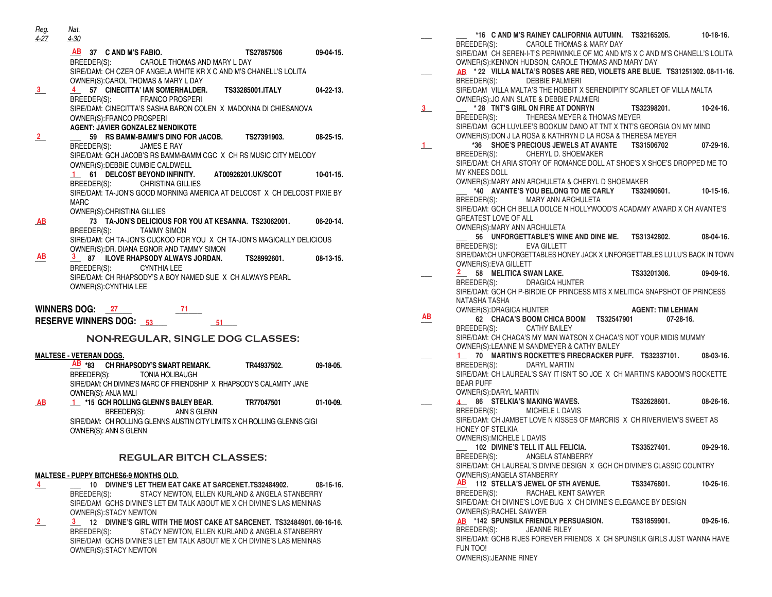| Reg.<br>$4-27$                | Nat.<br>4-30                                                                                                     |                      |                  |  |  |  |
|-------------------------------|------------------------------------------------------------------------------------------------------------------|----------------------|------------------|--|--|--|
|                               | <b>AB</b>                                                                                                        |                      |                  |  |  |  |
|                               | 37 C AND M'S FABIO.<br>BREEDER(S): CAROLE THOMAS AND MARY L DAY                                                  | TS27857506 09-04-15. |                  |  |  |  |
|                               | SIRE/DAM: CH CZER OF ANGELA WHITE KR X C AND M'S CHANELL'S LOLITA                                                |                      |                  |  |  |  |
|                               | OWNER(S): CAROL THOMAS & MARY L DAY                                                                              |                      |                  |  |  |  |
| 3                             | 57 CINECITTA' IAN SOMERHALDER. TS33285001.ITALY 04-22-13.                                                        |                      |                  |  |  |  |
|                               | BREEDER(S):<br><b>FRANCO PROSPERI</b><br>SIRE/DAM: CINECITTA'S SASHA BARON COLEN X MADONNA DI CHIESANOVA         |                      |                  |  |  |  |
|                               | OWNER(S): FRANCO PROSPERI                                                                                        |                      |                  |  |  |  |
|                               | <b>AGENT: JAVIER GONZALEZ MENDIKOTE</b>                                                                          |                      |                  |  |  |  |
| $2_{-}$                       | 59 RS BAMM-BAMM'S DINO FOR JACOB. TS27391903.                                                                    |                      | $08 - 25 - 15$ . |  |  |  |
|                               | BREEDER(S): JAMES E RAY<br>SIRE/DAM: GCH JACOB'S RS BAMM-BAMM CGC X CH RS MUSIC CITY MELODY                      |                      |                  |  |  |  |
|                               | OWNER(S): DEBBIE CUMBIE CALDWELL                                                                                 |                      |                  |  |  |  |
|                               | 61 DELCOST BEYOND INFINITY. AT00926201.UK/SCOT<br>$1 -$                                                          |                      | $10-01-15.$      |  |  |  |
|                               | BREEDER(S): CHRISTINA GILLIES                                                                                    |                      |                  |  |  |  |
|                               | SIRE/DAM: TA-JON'S GOOD MORNING AMERICA AT DELCOST X CH DELCOST PIXIE BY                                         |                      |                  |  |  |  |
|                               | <b>MARC</b><br>OWNER(S): CHRISTINA GILLIES                                                                       |                      |                  |  |  |  |
| <b>AB</b>                     | 73 TA-JON'S DELICIOUS FOR YOU AT KESANNA. TS23062001.                                                            |                      | 06-20-14.        |  |  |  |
|                               | BREEDER(S): TAMMY SIMON                                                                                          |                      |                  |  |  |  |
|                               | SIRE/DAM: CH TA-JON'S CUCKOO FOR YOU X CH TA-JON'S MAGICALLY DELICIOUS                                           |                      |                  |  |  |  |
| AB                            | OWNER(S):DR. DIANA EGNOR AND TAMMY SIMON<br>3.<br>87 ILOVE RHAPSODY ALWAYS JORDAN.                               | TS28992601.          | $08-13-15.$      |  |  |  |
|                               | BREEDER(S): CYNTHIA LEE                                                                                          |                      |                  |  |  |  |
|                               | SIRE/DAM: CH RHAPSODY'S A BOY NAMED SUE X CH ALWAYS PEARL                                                        |                      |                  |  |  |  |
|                               | OWNER(S): CYNTHIA LEE                                                                                            |                      |                  |  |  |  |
|                               |                                                                                                                  |                      |                  |  |  |  |
|                               | <b>WINNERS DOG: 27</b><br>71                                                                                     |                      |                  |  |  |  |
|                               | <b>RESERVE WINNERS DOG: 53</b><br>51                                                                             |                      |                  |  |  |  |
|                               | NON-REGULAR, SINGLE DOG CLASSES:                                                                                 |                      |                  |  |  |  |
|                               | <b>MALTESE - VETERAN DOGS.</b>                                                                                   |                      |                  |  |  |  |
|                               | AB ∗ <sub>83</sub><br>CH RHAPSODY'S SMART REMARK.                                                                | TR44937502.          | 09-18-05.        |  |  |  |
|                               | BREEDER(S): TONIA HOLIBAUGH                                                                                      |                      |                  |  |  |  |
|                               | SIRE/DAM: CH DIVINE'S MARC OF FRIENDSHIP X RHAPSODY'S CALAMITY JANE                                              |                      |                  |  |  |  |
| AB                            | OWNER(S): ANJA MALI<br>1 *15 GCH ROLLING GLENN'S BALEY BEAR.                                                     | <b>TR77047501</b>    | $01-10-09.$      |  |  |  |
|                               | BREEDER(S): ANN S GLENN                                                                                          |                      |                  |  |  |  |
|                               | SIRE/DAM: CH ROLLING GLENNS AUSTIN CITY LIMITS X CH ROLLING GLENNS GIGI                                          |                      |                  |  |  |  |
|                               | OWNER(S): ANN S GLENN                                                                                            |                      |                  |  |  |  |
|                               |                                                                                                                  |                      |                  |  |  |  |
| <b>REGULAR BITCH CLASSES:</b> |                                                                                                                  |                      |                  |  |  |  |
|                               |                                                                                                                  |                      |                  |  |  |  |
| 4                             | <b>MALTESE - PUPPY BITCHES6-9 MONTHS OLD.</b><br>10 DIVINE'S LET THEM EAT CAKE AT SARCENET.TS32484902. 08-16-16. |                      |                  |  |  |  |
|                               | BREEDER(S): STACY NEWTON, ELLEN KURLAND & ANGELA STANBERRY                                                       |                      |                  |  |  |  |
|                               | SIRE/DAM GCHS DIVINE'S LET EM TALK ABOUT ME X CH DIVINE'S LAS MENINAS                                            |                      |                  |  |  |  |
|                               |                                                                                                                  |                      |                  |  |  |  |
| $\overline{2}$                | OWNER(S): STACY NEWTON<br>3 12 DIVINE'S GIRL WITH THE MOST CAKE AT SARCENET. TS32484901. 08-16-16.               |                      |                  |  |  |  |

BREEDER(S): STACY NEWTON, ELLEN KURLAND & ANGELA STANBERRY SIRE/DAM GCHS DIVINE'S LET EM TALK ABOUT ME X CH DIVINE'S LAS MENINAS OWNER(S):STACY NEWTON

|                         |                               |                             | *16 C AND M'S RAINEY CALIFORNIA AUTUMN. TS32165205.                                                        |  |             |                                              | $10-18-16.$      |
|-------------------------|-------------------------------|-----------------------------|------------------------------------------------------------------------------------------------------------|--|-------------|----------------------------------------------|------------------|
|                         |                               |                             | BREEDER(S): CAROLE THOMAS & MARY DAY                                                                       |  |             |                                              |                  |
|                         |                               |                             | SIRE/DAM CH SEREN-I-T'S PERIWINKLE OF MC AND M'S X C AND M'S CHANELL'S LOLITA                              |  |             |                                              |                  |
|                         |                               |                             | OWNER(S): KENNON HUDSON, CAROLE THOMAS AND MARY DAY                                                        |  |             |                                              |                  |
|                         |                               |                             | AB *22 VILLA MALTA'S ROSES ARE RED, VIOLETS ARE BLUE. TS31251302. 08-11-16.<br>BREEDER(S): DEBBIE PALMIERI |  |             |                                              |                  |
|                         |                               |                             | SIRE/DAM VILLA MALTA'S THE HOBBIT X SERENDIPITY SCARLET OF VILLA MALTA                                     |  |             |                                              |                  |
|                         |                               |                             | OWNER(S): JO ANN SLATE & DEBBIE PALMIERI                                                                   |  |             |                                              |                  |
| $\overline{\mathbf{3}}$ |                               |                             | * 28 TNT'S GIRL ON FIRE AT DONRYN                                                                          |  | TS32398201. |                                              | $10 - 24 - 16$ . |
|                         | BREEDER(S):                   |                             | THERESA MEYER & THOMAS MEYER                                                                               |  |             |                                              |                  |
|                         |                               |                             | SIRE/DAM GCH LUVLEE'S BOOKUM DANO AT TNT X TNT'S GEORGIA ON MY MIND                                        |  |             |                                              |                  |
|                         |                               |                             | OWNER(S): DON J LA ROSA & KATHRYN D LA ROSA & THERESA MEYER                                                |  |             |                                              |                  |
| $\perp$                 | *36                           |                             | SHOE'S PRECIOUS JEWELS AT AVANTE TS31506702                                                                |  |             |                                              | $07-29-16.$      |
|                         | BREEDER(S):                   |                             | CHERYL D. SHOEMAKER                                                                                        |  |             |                                              |                  |
|                         |                               |                             | SIRE/DAM: CH ARIA STORY OF ROMANCE DOLL AT SHOE'S X SHOE'S DROPPED ME TO                                   |  |             |                                              |                  |
|                         | <b>MY KNEES DOLL</b>          |                             |                                                                                                            |  |             |                                              |                  |
|                         |                               |                             | OWNER(S): MARY ANN ARCHULETA & CHERYL D SHOEMAKER                                                          |  |             |                                              |                  |
|                         |                               |                             | *40 AVANTE'S YOU BELONG TO ME CARLY TS32490601.                                                            |  |             |                                              | $10-15-16.$      |
|                         | BREEDER(S):                   |                             | MARY ANN ARCHULETA                                                                                         |  |             |                                              |                  |
|                         |                               | <b>GREATEST LOVE OF ALL</b> | SIRE/DAM: GCH CH BELLA DOLCE N HOLLYWOOD'S ACADAMY AWARD X CH AVANTE'S                                     |  |             |                                              |                  |
|                         |                               |                             | OWNER(S): MARY ANN ARCHULETA                                                                               |  |             |                                              |                  |
|                         |                               |                             | 56 UNFORGETTABLE'S WINE AND DINE ME. TS31342802.                                                           |  |             |                                              | $08 - 04 - 16$ . |
|                         | BREEDER(S):                   |                             | <b>EVA GILLETT</b>                                                                                         |  |             |                                              |                  |
|                         |                               |                             | SIRE/DAM:CH UNFORGETTABLES HONEY JACK X UNFORGETTABLES LU LU'S BACK IN TOWN                                |  |             |                                              |                  |
|                         |                               | OWNER(S): EVA GILLETT       |                                                                                                            |  |             |                                              |                  |
|                         | $\mathbf{2}$                  |                             | 58 MELITICA SWAN LAKE.                                                                                     |  | TS33201306. |                                              | 09-09-16.        |
|                         | BREEDER(S):                   |                             | DRAGICA HUNTER                                                                                             |  |             |                                              |                  |
|                         |                               |                             | SIRE/DAM: GCH CH P-BIRDIE OF PRINCESS MTS X MELITICA SNAPSHOT OF PRINCESS                                  |  |             |                                              |                  |
|                         | NATASHA TASHA                 |                             |                                                                                                            |  |             |                                              |                  |
| AВ                      |                               | OWNER(S): DRAGICA HUNTER    | 62 CHACA'S BOOM CHICA BOOM TS32547901                                                                      |  |             | <b>AGENT: TIM LEHMAN</b><br>$07 - 28 - 16$ . |                  |
|                         | BREEDER(S):                   |                             | CATHY BAILEY                                                                                               |  |             |                                              |                  |
|                         |                               |                             | SIRE/DAM: CH CHACA'S MY MAN WATSON X CHACA'S NOT YOUR MIDIS MUMMY                                          |  |             |                                              |                  |
|                         |                               |                             | OWNER(S): LEANNE M SANDMEYER & CATHY BAILEY                                                                |  |             |                                              |                  |
|                         | $1 -$                         |                             | 70 MARTIN'S ROCKETTE'S FIRECRACKER PUFF. TS32337101.                                                       |  |             |                                              | $08-03-16.$      |
|                         | BREEDER(S):                   |                             | DARYL MARTIN                                                                                               |  |             |                                              |                  |
|                         |                               |                             | SIRE/DAM: CH LAUREAL'S SAY IT ISN'T SO JOE X CH MARTIN'S KABOOM'S ROCKETTE                                 |  |             |                                              |                  |
|                         | <b>BEAR PUFF</b>              |                             |                                                                                                            |  |             |                                              |                  |
|                         |                               | OWNER(S): DARYL MARTIN      |                                                                                                            |  |             |                                              |                  |
|                         | $\overline{4}$<br>BREEDER(S): |                             | 86 STELKIA'S MAKING WAVES.<br>MICHELE L DAVIS                                                              |  | TS32628601. |                                              | $08 - 26 - 16$ . |
|                         |                               |                             | SIRE/DAM: CH JAMBET LOVE N KISSES OF MARCRIS X CH RIVERVIEW'S SWEET AS                                     |  |             |                                              |                  |
|                         | HONEY OF STELKIA              |                             |                                                                                                            |  |             |                                              |                  |
|                         |                               | OWNER(S): MICHELE L DAVIS   |                                                                                                            |  |             |                                              |                  |
|                         |                               |                             | 102 DIVINE'S TELL IT ALL FELICIA.                                                                          |  | TS33527401. |                                              | $09-29-16.$      |
|                         | BREEDER(S):                   |                             | ANGELA STANBERRY                                                                                           |  |             |                                              |                  |
|                         |                               |                             | SIRE/DAM: CH LAUREAL'S DIVINE DESIGN X GCH CH DIVINE'S CLASSIC COUNTRY                                     |  |             |                                              |                  |
|                         |                               |                             | OWNER(S): ANGELA STANBERRY                                                                                 |  |             |                                              |                  |
|                         |                               |                             | AB 112 STELLA'S JEWEL OF 5TH AVENUE.                                                                       |  | TS33476801. |                                              | $10 - 26 - 16$ . |
|                         | BREEDER(S):                   |                             | RACHAEL KENT SAWYER                                                                                        |  |             |                                              |                  |
|                         |                               |                             | SIRE/DAM: CH DIVINE'S LOVE BUG X CH DIVINE'S ELEGANCE BY DESIGN                                            |  |             |                                              |                  |
|                         |                               | OWNER(S): RACHEL SAWYER     |                                                                                                            |  |             |                                              |                  |
|                         | BREEDER(S):                   |                             | AB *142 SPUNSILK FRIENDLY PERSUASION.<br><b>JEANNE RILEY</b>                                               |  | TS31859901. |                                              | 09-26-16.        |
|                         |                               |                             | SIRE/DAM: GCHB RIJES FOREVER FRIENDS X CH SPUNSILK GIRLS JUST WANNA HAVE                                   |  |             |                                              |                  |
|                         | FUN TOO!                      |                             |                                                                                                            |  |             |                                              |                  |
|                         |                               | OWNER(S): JEANNE RINEY      |                                                                                                            |  |             |                                              |                  |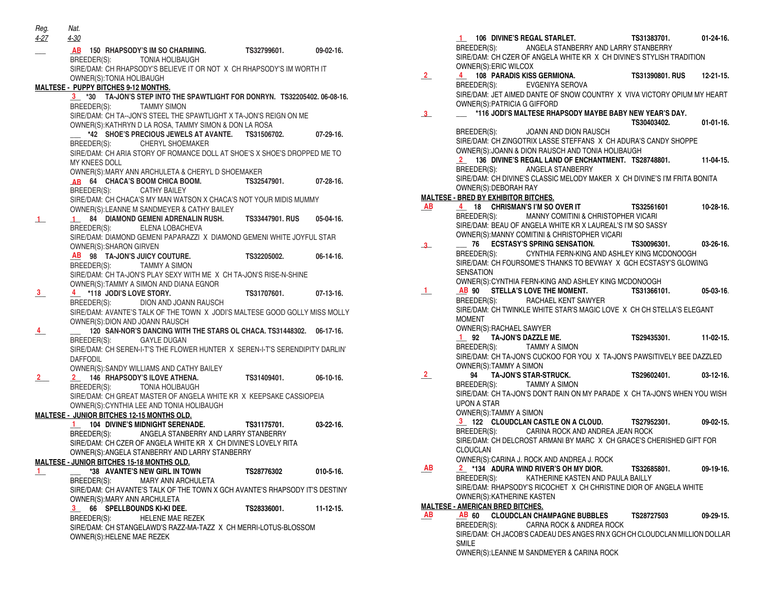| Reg.<br>4-27   | Nat.<br>4-30                                                                                                     |                   |                  |
|----------------|------------------------------------------------------------------------------------------------------------------|-------------------|------------------|
|                | AB 150 RHAPSODY'S IM SO CHARMING.<br>BREEDER(S): TONIA HOLIBAUGH                                                 | TS32799601.       | $09-02-16.$      |
|                | SIRE/DAM: CH RHAPSODY'S BELIEVE IT OR NOT X CH RHAPSODY'S IM WORTH IT                                            |                   |                  |
|                | OWNER(S): TONIA HOLIBAUGH                                                                                        |                   |                  |
|                | <b>MALTESE - PUPPY BITCHES 9-12 MONTHS.</b>                                                                      |                   |                  |
|                | 3 *30 TA-JON'S STEP INTO THE SPAWTLIGHT FOR DONRYN. TS32205402. 06-08-16.                                        |                   |                  |
|                | BREEDER(S):<br><b>TAMMY SIMON</b>                                                                                |                   |                  |
|                | SIRE/DAM: CH TA-JON'S STEEL THE SPAWTLIGHT X TA-JON'S REIGN ON ME                                                |                   |                  |
|                | OWNER(S): KATHRYN D LA ROSA, TAMMY SIMON & DON LA ROSA<br>*42 SHOE'S PRECIOUS JEWELS AT AVANTE. TS31506702.      |                   | $07-29-16.$      |
|                | BREEDER(S): CHERYL SHOEMAKER                                                                                     |                   |                  |
|                | SIRE/DAM: CH ARIA STORY OF ROMANCE DOLL AT SHOE'S X SHOE'S DROPPED ME TO                                         |                   |                  |
|                | MY KNEES DOLL                                                                                                    |                   |                  |
|                | OWNER(S): MARY ANN ARCHULETA & CHERYL D SHOEMAKER                                                                |                   |                  |
|                | AB 64 CHACA'S BOOM CHICA BOOM. TS32547901.                                                                       |                   | $07-28-16.$      |
|                | BREEDER(S): CATHY BAILEY                                                                                         |                   |                  |
|                | SIRE/DAM: CH CHACA'S MY MAN WATSON X CHACA'S NOT YOUR MIDIS MUMMY                                                |                   |                  |
|                | OWNER(S):LEANNE M SANDMEYER & CATHY BAILEY                                                                       |                   |                  |
| $\perp$        | 84 DIAMOND GEMENI ADRENALIN RUSH. TS33447901. RUS<br>1 <sup>1</sup>                                              |                   | $05-04-16.$      |
|                | ELENA LOBACHEVA<br>BREEDER(S):                                                                                   |                   |                  |
|                | SIRE/DAM: DIAMOND GEMENI PAPARAZZI X DIAMOND GEMENI WHITE JOYFUL STAR<br>OWNER(S): SHARON GIRVEN                 |                   |                  |
|                | AB 98 TA-JON'S JUICY COUTURE.                                                                                    | TS32205002.       | $06-14-16.$      |
|                | BREEDER(S): TAMMY A SIMON                                                                                        |                   |                  |
|                | SIRE/DAM: CH TA-JON'S PLAY SEXY WITH ME X CH TA-JON'S RISE-N-SHINE                                               |                   |                  |
|                | OWNER(S):TAMMY A SIMON AND DIANA EGNOR                                                                           |                   |                  |
| 3              | 4 *118 JODI'S LOVE STORY.                                                                                        | TS31707601.       | $07-13-16.$      |
|                | BREEDER(S): DION AND JOANN RAUSCH                                                                                |                   |                  |
|                | SIRE/DAM: AVANTE'S TALK OF THE TOWN X JODI'S MALTESE GOOD GOLLY MISS MOLLY                                       |                   |                  |
|                | OWNER(S): DION AND JOANN RAUSCH                                                                                  |                   |                  |
| 4              | 120 SAN-NOR'S DANCING WITH THE STARS OL CHACA. TS31448302.                                                       |                   | $06-17-16.$      |
|                | BREEDER(S): GAYLE DUGAN<br>SIRE/DAM: CH SEREN-I-T'S THE FLOWER HUNTER X SEREN-I-T'S SERENDIPITY DARLIN'          |                   |                  |
|                | <b>DAFFODIL</b>                                                                                                  |                   |                  |
|                | OWNER(S): SANDY WILLIAMS AND CATHY BAILEY                                                                        |                   |                  |
| $\overline{2}$ | 2 146 RHAPSODY'S ILOVE ATHENA.                                                                                   | TS31409401.       | $06-10-16.$      |
|                | BREEDER(S): TONIA HOLIBAUGH                                                                                      |                   |                  |
|                | SIRE/DAM: CH GREAT MASTER OF ANGELA WHITE KR X KEEPSAKE CASSIOPEIA                                               |                   |                  |
|                | OWNER(S): CYNTHIA LEE AND TONIA HOLIBAUGH                                                                        |                   |                  |
|                | MALTESE - JUNIOR BITCHES 12-15 MONTHS OLD.                                                                       |                   |                  |
|                | 1 104 DIVINE'S MIDNIGHT SERENADE.                                                                                | TS31175701.       | $03-22-16.$      |
|                | BREEDER(S): ANGELA STANBERRY AND LARRY STANBERRY                                                                 |                   |                  |
|                | SIRE/DAM: CH CZER OF ANGELA WHITE KR X CH DIVINE'S LOVELY RITA<br>OWNER(S): ANGELA STANBERRY AND LARRY STANBERRY |                   |                  |
|                | <b>MALTESE - JUNIOR BITCHES 15-18 MONTHS OLD.</b>                                                                |                   |                  |
| $\mathbf{1}$   | *38 AVANTE'S NEW GIRL IN TOWN                                                                                    | <b>TS28776302</b> | $010 - 5 - 16$ . |
|                | BREEDER(S):<br>MARY ANN ARCHULETA                                                                                |                   |                  |
|                | SIRE/DAM: CH AVANTE'S TALK OF THE TOWN X GCH AVANTE'S RHAPSODY IT'S DESTINY                                      |                   |                  |
|                | OWNER(S): MARY ANN ARCHULETA                                                                                     |                   |                  |
|                | 3<br><b>SPELLBOUNDS KI-KI DEE.</b><br>66                                                                         | TS28336001.       | $11 - 12 - 15$ . |
|                | <b>HELENE MAE REZEK</b><br>BREEDER(S):                                                                           |                   |                  |
|                | SIRE/DAM: CH STANGELAWD'S RAZZ-MA-TAZZ X CH MERRI-LOTUS-BLOSSOM                                                  |                   |                  |
|                | OWNER(S): HELENE MAE REZEK                                                                                       |                   |                  |

|                | 1 106 DIVINE'S REGAL STARLET.                                                                                               | TS31383701.               | $01-24-16$ . |
|----------------|-----------------------------------------------------------------------------------------------------------------------------|---------------------------|--------------|
|                | BREEDER(S): ANGELA STANBERRY AND LARRY STANBERRY<br>SIRE/DAM: CH CZER OF ANGELA WHITE KR X CH DIVINE'S STYLISH TRADITION    |                           |              |
|                | OWNER(S): ERIC WILCOX                                                                                                       |                           |              |
| 2              | 4 108 PARADIS KISS GERMIONA.                                                                                                | TS31390801. RUS 12-21-15. |              |
|                | BREEDER(S): EVGENIYA SEROVA                                                                                                 |                           |              |
|                | SIRE/DAM: JET AIMED DANTE OF SNOW COUNTRY X VIVA VICTORY OPIUM MY HEART                                                     |                           |              |
| 3 <sup>1</sup> | OWNER(S): PATRICIA G GIFFORD<br>*116 JODI'S MALTESE RHAPSODY MAYBE BABY NEW YEAR'S DAY.                                     |                           |              |
|                |                                                                                                                             | TS30403402. 01-01-16.     |              |
|                | BREEDER(S): JOANN AND DION RAUSCH                                                                                           |                           |              |
|                | SIRE/DAM: CH ZINGOTRIX LASSE STEFFANS X CH ADURA'S CANDY SHOPPE                                                             |                           |              |
|                | OWNER(S): JOANN & DION RAUSCH AND TONIA HOLIBAUGH                                                                           |                           |              |
|                | 2 136 DIVINE'S REGAL LAND OF ENCHANTMENT. TS28748801. 11-04-15.                                                             |                           |              |
|                | BREEDER(S): ANGELA STANBERRY                                                                                                |                           |              |
|                | SIRE/DAM: CH DIVINE'S CLASSIC MELODY MAKER X CH DIVINE'S I'M FRITA BONITA<br>OWNER(S): DEBORAH RAY                          |                           |              |
|                | <b>MALTESE - BRED BY EXHIBITOR BITCHES.</b>                                                                                 |                           |              |
| AB             | 4 18 CHRISMAN'S I'M SO OVER IT TS32561601                                                                                   |                           | $10-28-16.$  |
|                | BREEDER(S): MANNY COMITINI & CHRISTOPHER VICARI                                                                             |                           |              |
|                | SIRE/DAM: BEAU OF ANGELA WHITE KR X LAUREAL'S I'M SO SASSY                                                                  |                           |              |
|                | OWNER(S):MANNY COMITINI & CHRISTOPHER VICARI                                                                                |                           |              |
| $3-$           | ECSTASY'S SPRING SENSATION. TS30096301. 03-26-16.<br>76                                                                     |                           |              |
|                | BREEDER(S): CYNTHIA FERN-KING AND ASHLEY KING MCDONOOGH<br>SIRE/DAM: CH FOURSOME'S THANKS TO BEVWAY X GCH ECSTASY'S GLOWING |                           |              |
|                | <b>SENSATION</b>                                                                                                            |                           |              |
|                | OWNER(S): CYNTHIA FERN-KING AND ASHLEY KING MCDONOOGH                                                                       |                           |              |
| $\mathbf{1}$   | AB 90 STELLA'S LOVE THE MOMENT. TS31366101.                                                                                 |                           | $05-03-16$ . |
|                | BREEDER(S): RACHAEL KENT SAWYER                                                                                             |                           |              |
|                | SIRE/DAM: CH TWINKLE WHITE STAR'S MAGIC LOVE X CH CH STELLA'S ELEGANT                                                       |                           |              |
|                | <b>MOMENT</b>                                                                                                               |                           |              |
|                | OWNER(S): RACHAEL SAWYER<br>$1$ 92 TA-JON'S DAZZLE ME.                                                                      | TS29435301.               | $11-02-15.$  |
|                | BREEDER(S): TAMMY A SIMON                                                                                                   |                           |              |
|                | SIRE/DAM: CH TA-JON'S CUCKOO FOR YOU X TA-JON'S PAWSITIVELY BEE DAZZLED                                                     |                           |              |
|                | OWNER(S): TAMMY A SIMON                                                                                                     |                           |              |
| $\overline{2}$ | 94 TA-JON'S STAR-STRUCK. TS29602401.                                                                                        |                           | $03-12-16.$  |
|                | BREEDER(S): TAMMY A SIMON                                                                                                   |                           |              |
|                | SIRE/DAM: CH TA-JON'S DON'T RAIN ON MY PARADE X CH TA-JON'S WHEN YOU WISH<br>UPON A STAR                                    |                           |              |
|                | OWNER(S):TAMMY A SIMON                                                                                                      |                           |              |
|                | 3 122 CLOUDCLAN CASTLE ON A CLOUD. TS27952301.                                                                              |                           | $09-02-15.$  |
|                | BREEDER(S): CARINA ROCK AND ANDREA JEAN ROCK                                                                                |                           |              |
|                | SIRE/DAM: CH DELCROST ARMANI BY MARC X CH GRACE'S CHERISHED GIFT FOR                                                        |                           |              |
|                | <b>CLOUCLAN</b>                                                                                                             |                           |              |
| AВ             | OWNER(S): CARINA J. ROCK AND ANDREA J. ROCK<br>2 *134 ADURA WIND RIVER'S OH MY DIOR.                                        | TS32685801.               | 09-19-16.    |
|                | BREEDER(S):<br>KATHERINE KASTEN AND PAULA BAILLY                                                                            |                           |              |
|                | SIRE/DAM: RHAPSODY'S RICOCHET X CH CHRISTINE DIOR OF ANGELA WHITE                                                           |                           |              |
|                | OWNER(S): KATHERINE KASTEN                                                                                                  |                           |              |
|                | <b>MALTESE - AMERICAN BRED BITCHES.</b>                                                                                     |                           |              |
| AB             | AB 60<br><b>CLOUDCLAN CHAMPAGNE BUBBLES</b>                                                                                 | <b>TS28727503</b>         | 09-29-15.    |
|                | BREEDER(S):<br>CARNA ROCK & ANDREA ROCK                                                                                     |                           |              |
|                | SIRE/DAM: CH JACOB'S CADEAU DES ANGES RN X GCH CH CLOUDCLAN MILLION DOLLAR<br>SMILE                                         |                           |              |
|                |                                                                                                                             |                           |              |

OWNER(S):LEANNE M SANDMEYER & CARINA ROCK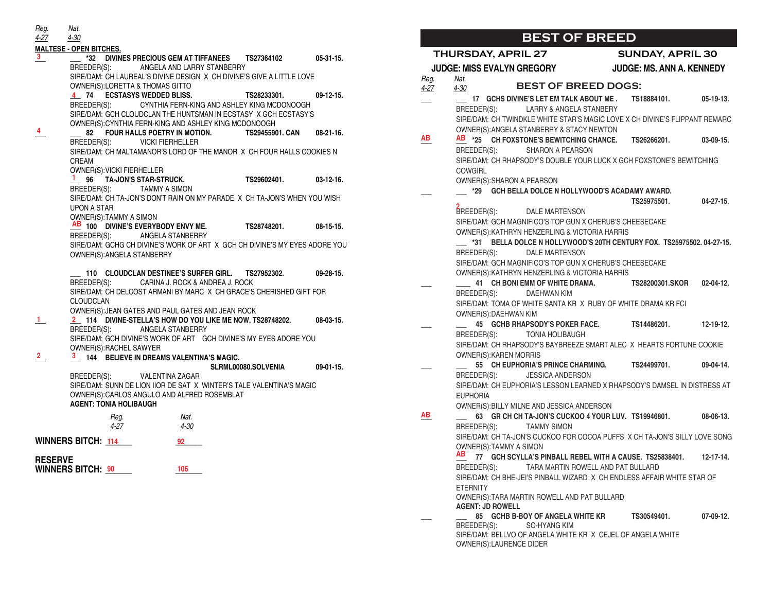**MALTESE - OPEN BITCHES. \_\_\_ \_\_\_ \*32 DIVINES PRECIOUS GEM AT TIFFANEES TS27364102 05-31-15.** BREEDER(S): ANGELA AND LARRY STANBERRY SIRE/DAM: CH LAUREAL'S DIVINE DESIGN X CH DIVINE'S GIVE A LITTLE LOVE OWNER(S):LORETTA & THOMAS GITTO **\_\_\_ 74 ECSTASYS WEDDED BLISS. TS28233301. 09-12-15. 4** BREEDER(S): CYNTHIA FERN-KING AND ASHLEY KING MCDONOOGH SIRE/DAM: GCH CLOUDCLAN THE HUNTSMAN IN ECSTASY X GCH ECSTASY'S OWNER(S):CYNTHIA FERN-KING AND ASHLEY KING MCDONOOGH **\_\_\_ \_\_\_ 82 FOUR HALLS POETRY IN MOTION. TS29455901. CAN 08-21-16.** BREEDER(S): VICKI FIERHELLER SIRE/DAM: CH MALTAMANOR'S LORD OF THE MANOR X CH FOUR HALLS COOKIES N CREAM OWNER(S):VICKI FIERHELLER **\_\_\_ 96 TA-JON'S STAR-STRUCK. TS29602401. 03-12-16.** BREEDER(S): TAMMY A SIMON SIRE/DAM: CH TA-JON'S DON'T RAIN ON MY PARADE X CH TA-JON'S WHEN YOU WISH UPON A STAR OWNER(S):TAMMY A SIMON **\_\_\_ 100 DIVINE'S EVERYBODY ENVY ME. TS28748201. 08-15-15. AB** BREEDER(S): ANGELA STANBERRY SIRE/DAM: GCHG CH DIVINE'S WORK OF ART X GCH CH DIVINE'S MY EYES ADORE YOU OWNER(S):ANGELA STANBERRY **\_\_\_ 110 CLOUDCLAN DESTINEE'S SURFER GIRL. TS27952302. 09-28-15.** BREEDER(S): CARINA J. ROCK & ANDREA J. ROCK SIRE/DAM: CH DELCOST ARMANI BY MARC X CH GRACE'S CHERISHED GIFT FOR CLOUDCLAN OWNER(S):JEAN GATES AND PAUL GATES AND JEAN ROCK **\_\_\_ \_\_\_ 114 DIVINE-STELLA'S HOW DO YOU LIKE ME NOW. TS28748202. 08-03-15.** BREEDER(S): ANGELA STANBERRY SIRE/DAM: GCH DIVINE'S WORK OF ART GCH DIVINE'S MY EYES ADORE YOU OWNER(S):RACHEL SAWYER **\_\_\_ \_\_\_ 144 BELIEVE IN DREAMS VALENTINA'S MAGIC. 2 3 SLRML00080.SOLVENIA 09-01-15.** BREEDER(S): VALENTINA ZAGAR SIRE/DAM: SUNN DE LION IIOR DE SAT X WINTER'S TALE VALENTINA'S MAGIC OWNER(S):CARLOS ANGULO AND ALFRED ROSEMBLAT **AGENT: TONIA HOLIBAUGH** WINNERS BITCH: <u>114 92 92</u> **RESERVE** WINNERS BITCH:  $\frac{90}{20}$  **106** 2006 *Reg. Nat. 4-27 4-30* **3 4 1 1 2** *Reg. Nat. 4-27 4-30*

#### **BEST OF BREED THURSDAY, APRIL 27 SUNDAY, APRIL 30 JUDGE: MISS EVALYN GREGORY JUDGE: MS. ANN A. KENNEDY** *Reg. Nat. 4-27 4-30* **BEST OF BREED DOGS: \_\_\_ \_\_\_ 17 GCHS DIVINE'S LET EM TALK ABOUT ME . TS18884101. 05-19-13.** BREEDER(S): LARRY & ANGELA STANBERY SIRE/DAM: CH TWINDKLE WHITE STAR'S MAGIC LOVE X CH DIVINE'S FLIPPANT REMARC OWNER(S):ANGELA STANBERRY & STACY NEWTON **\_\_\_ \_\_\_ \*25 CH FOXSTONE'S BEWITCHING CHANCE. TS26266201. 03-09-15. AB AB** BREEDER(S): SHARON A PEARSON SIRE/DAM: CH RHAPSODY'S DOUBLE YOUR LUCK X GCH FOXSTONE'S BEWITCHING **COWGIRL** OWNER(S):SHARON A PEARSON **\_\_\_ \_\_\_ \*29 GCH BELLA DOLCE N HOLLYWOOD'S ACADAMY AWARD. TS25975501. 04-27-15**. DALE MARTENSON SIRE/DAM: GCH MAGNIFICO'S TOP GUN X CHERUB'S CHEESECAKE OWNER(S):KATHRYN HENZERLING & VICTORIA HARRIS **\_\_\_ \*31 BELLA DOLCE N HOLLYWOOD'S 20TH CENTURY FOX. TS25975502. 04-27-15.** BREEDER(S): DALE MARTENSON SIRE/DAM: GCH MAGNIFICO'S TOP GUN X CHERUB'S CHEESECAKE OWNER(S):KATHRYN HENZERLING & VICTORIA HARRIS **\_\_\_ \_\_\_\_ 41 CH BONI EMM OF WHITE DRAMA. TS28200301.SKOR 02-04-12.** BREEDER(S): DAEHWAN KIM SIRE/DAM: TOMA OF WHITE SANTA KR X RUBY OF WHITE DRAMA KR FCI OWNER(S):DAEHWAN KIM **\_\_\_ \_\_\_ 45 GCHB RHAPSODY'S POKER FACE. TS14486201. 12-19-12.** BREEDER(S): TONIA HOLIBAUGH SIRE/DAM: CH RHAPSODY'S BAYBREEZE SMART ALEC X HEARTS FORTUNE COOKIE OWNER(S):KAREN MORRIS **\_\_\_ \_\_\_ 55 CH EUPHORIA'S PRINCE CHARMING. TS24499701. 09-04-14.** BREEDER(S): JESSICA ANDERSON SIRE/DAM: CH EUPHORIA'S LESSON LEARNED X RHAPSODY'S DAMSEL IN DISTRESS AT EUPHORIA OWNER(S):BILLY MILNE AND JESSICA ANDERSON **\_\_\_ \_\_\_ 63 GR CH CH TA-JON'S CUCKOO 4 YOUR LUV. TS19946801. 08-06-13.** BREEDER(S): TAMMY SIMON SIRE/DAM: CH TA-JON'S CUCKOO FOR COCOA PUFFS X CH TA-JON'S SILLY LOVE SONG OWNER(S):TAMMY A SIMON **\_\_\_ 77 GCH SCYLLA'S PINBALL REBEL WITH A CAUSE. TS25838401. 12-17-14. AB**BREEDER(S): TARA MARTIN ROWELL AND PAT BULLARD SIRE/DAM: CH BHE-JEI'S PINBALL WIZARD X CH ENDLESS AFFAIR WHITE STAR OF **ETERNITY** OWNER(S):TARA MARTIN ROWELL AND PAT BULLARD **AGENT: JD ROWELL \_\_\_ \_\_\_ 85 GCHB B-BOY OF ANGELA WHITE KR TS30549401. 07-09-12.** BREEDER(S): SO-HYANG KIM SIRE/DAM: BELLVO OF ANGELA WHITE KR X CEJEL OF ANGELA WHITE **BREEDER(S): AB**

OWNER(S):LAURENCE DIDER